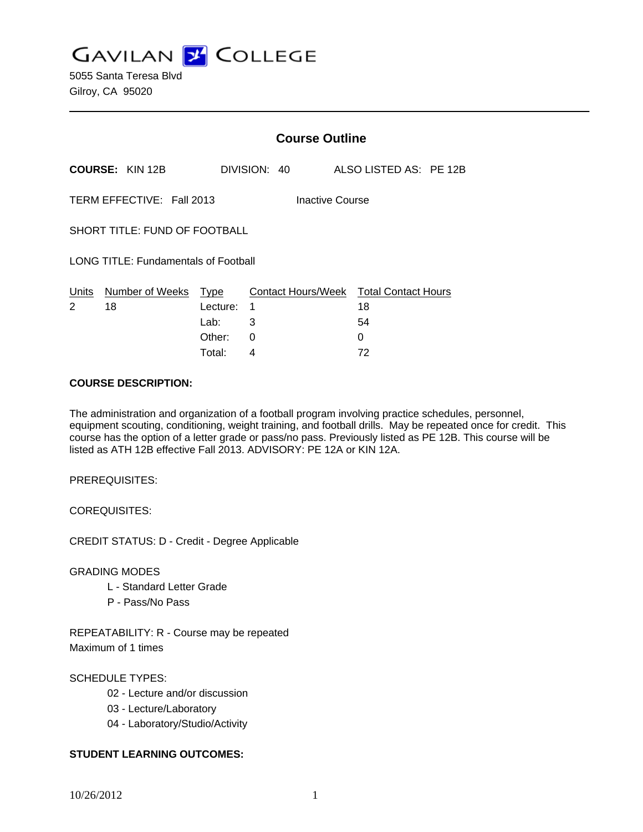**GAVILAN J COLLEGE** 

|                                              |                        | <b>Course Outline</b> |              |  |                                        |  |
|----------------------------------------------|------------------------|-----------------------|--------------|--|----------------------------------------|--|
|                                              | <b>COURSE: KIN 12B</b> |                       | DIVISION: 40 |  | ALSO LISTED AS: PE 12B                 |  |
| TERM EFFECTIVE: Fall 2013<br>Inactive Course |                        |                       |              |  |                                        |  |
| SHORT TITLE: FUND OF FOOTBALL                |                        |                       |              |  |                                        |  |
| <b>LONG TITLE: Fundamentals of Football</b>  |                        |                       |              |  |                                        |  |
| Units                                        | Number of Weeks Type   |                       |              |  | Contact Hours/Week Total Contact Hours |  |
| 2                                            | 18                     | Lecture:              | 1            |  | 18                                     |  |
|                                              |                        | Lab:                  | 3            |  | 54                                     |  |
|                                              |                        | Other:                | 0            |  | 0                                      |  |
|                                              |                        | Total:                | 4            |  | 72                                     |  |

### **COURSE DESCRIPTION:**

The administration and organization of a football program involving practice schedules, personnel, equipment scouting, conditioning, weight training, and football drills. May be repeated once for credit. This course has the option of a letter grade or pass/no pass. Previously listed as PE 12B. This course will be listed as ATH 12B effective Fall 2013. ADVISORY: PE 12A or KIN 12A.

PREREQUISITES:

COREQUISITES:

CREDIT STATUS: D - Credit - Degree Applicable

GRADING MODES

- L Standard Letter Grade
- P Pass/No Pass

REPEATABILITY: R - Course may be repeated Maximum of 1 times

# SCHEDULE TYPES:

- 02 Lecture and/or discussion
- 03 Lecture/Laboratory
- 04 Laboratory/Studio/Activity

## **STUDENT LEARNING OUTCOMES:**

10/26/2012 1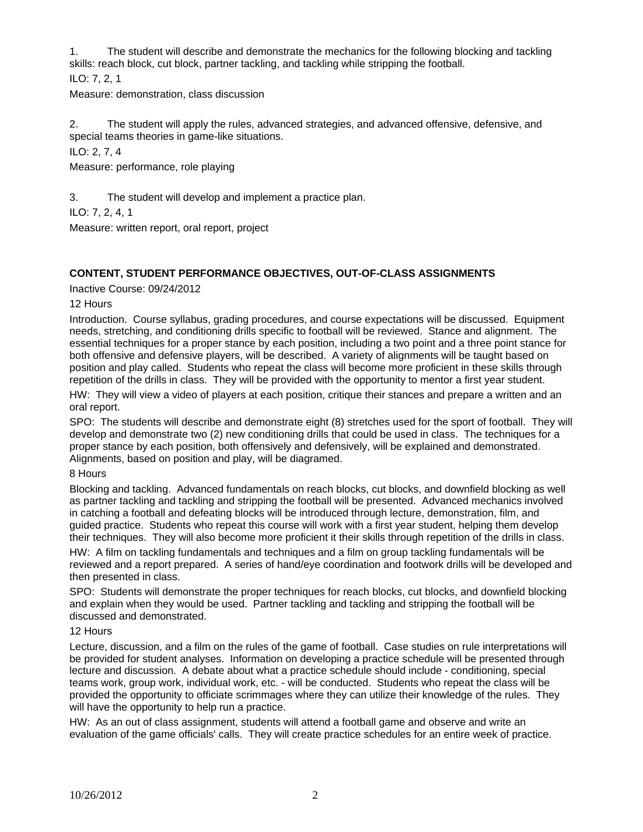1. The student will describe and demonstrate the mechanics for the following blocking and tackling skills: reach block, cut block, partner tackling, and tackling while stripping the football.

ILO: 7, 2, 1

Measure: demonstration, class discussion

2. The student will apply the rules, advanced strategies, and advanced offensive, defensive, and special teams theories in game-like situations.

ILO: 2, 7, 4

Measure: performance, role playing

3. The student will develop and implement a practice plan.

ILO: 7, 2, 4, 1

Measure: written report, oral report, project

# **CONTENT, STUDENT PERFORMANCE OBJECTIVES, OUT-OF-CLASS ASSIGNMENTS**

Inactive Course: 09/24/2012

12 Hours

Introduction. Course syllabus, grading procedures, and course expectations will be discussed. Equipment needs, stretching, and conditioning drills specific to football will be reviewed. Stance and alignment. The essential techniques for a proper stance by each position, including a two point and a three point stance for both offensive and defensive players, will be described. A variety of alignments will be taught based on position and play called. Students who repeat the class will become more proficient in these skills through repetition of the drills in class. They will be provided with the opportunity to mentor a first year student.

HW: They will view a video of players at each position, critique their stances and prepare a written and an oral report.

SPO: The students will describe and demonstrate eight (8) stretches used for the sport of football. They will develop and demonstrate two (2) new conditioning drills that could be used in class. The techniques for a proper stance by each position, both offensively and defensively, will be explained and demonstrated. Alignments, based on position and play, will be diagramed.

## 8 Hours

Blocking and tackling. Advanced fundamentals on reach blocks, cut blocks, and downfield blocking as well as partner tackling and tackling and stripping the football will be presented. Advanced mechanics involved in catching a football and defeating blocks will be introduced through lecture, demonstration, film, and guided practice. Students who repeat this course will work with a first year student, helping them develop their techniques. They will also become more proficient it their skills through repetition of the drills in class.

HW: A film on tackling fundamentals and techniques and a film on group tackling fundamentals will be reviewed and a report prepared. A series of hand/eye coordination and footwork drills will be developed and then presented in class.

SPO: Students will demonstrate the proper techniques for reach blocks, cut blocks, and downfield blocking and explain when they would be used. Partner tackling and tackling and stripping the football will be discussed and demonstrated.

### 12 Hours

Lecture, discussion, and a film on the rules of the game of football. Case studies on rule interpretations will be provided for student analyses. Information on developing a practice schedule will be presented through lecture and discussion. A debate about what a practice schedule should include - conditioning, special teams work, group work, individual work, etc. - will be conducted. Students who repeat the class will be provided the opportunity to officiate scrimmages where they can utilize their knowledge of the rules. They will have the opportunity to help run a practice.

HW: As an out of class assignment, students will attend a football game and observe and write an evaluation of the game officials' calls. They will create practice schedules for an entire week of practice.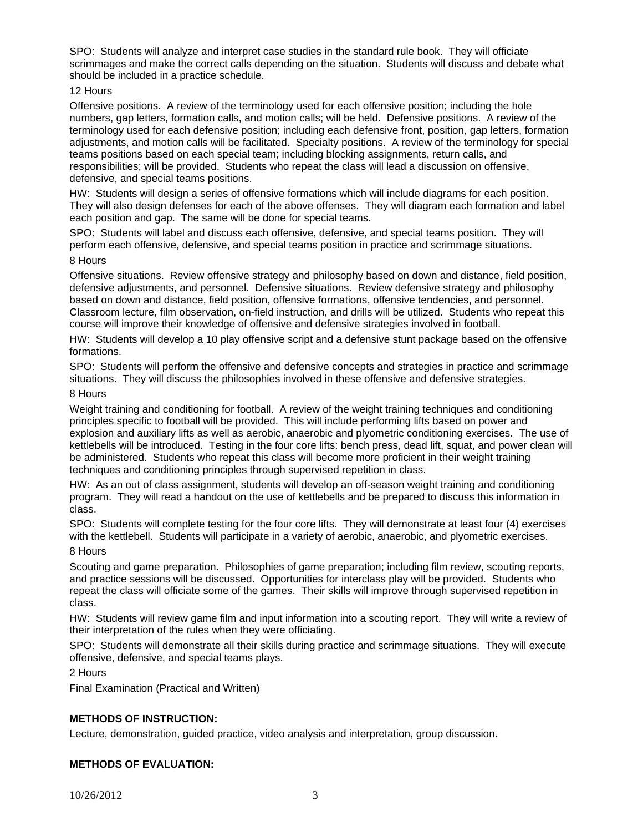SPO: Students will analyze and interpret case studies in the standard rule book. They will officiate scrimmages and make the correct calls depending on the situation. Students will discuss and debate what should be included in a practice schedule.

### 12 Hours

Offensive positions. A review of the terminology used for each offensive position; including the hole numbers, gap letters, formation calls, and motion calls; will be held. Defensive positions. A review of the terminology used for each defensive position; including each defensive front, position, gap letters, formation adjustments, and motion calls will be facilitated. Specialty positions. A review of the terminology for special teams positions based on each special team; including blocking assignments, return calls, and responsibilities; will be provided. Students who repeat the class will lead a discussion on offensive, defensive, and special teams positions.

HW: Students will design a series of offensive formations which will include diagrams for each position. They will also design defenses for each of the above offenses. They will diagram each formation and label each position and gap. The same will be done for special teams.

SPO: Students will label and discuss each offensive, defensive, and special teams position. They will perform each offensive, defensive, and special teams position in practice and scrimmage situations. 8 Hours

Offensive situations. Review offensive strategy and philosophy based on down and distance, field position, defensive adjustments, and personnel. Defensive situations. Review defensive strategy and philosophy based on down and distance, field position, offensive formations, offensive tendencies, and personnel. Classroom lecture, film observation, on-field instruction, and drills will be utilized. Students who repeat this course will improve their knowledge of offensive and defensive strategies involved in football.

HW: Students will develop a 10 play offensive script and a defensive stunt package based on the offensive formations.

SPO: Students will perform the offensive and defensive concepts and strategies in practice and scrimmage situations. They will discuss the philosophies involved in these offensive and defensive strategies.

### 8 Hours

Weight training and conditioning for football. A review of the weight training techniques and conditioning principles specific to football will be provided. This will include performing lifts based on power and explosion and auxiliary lifts as well as aerobic, anaerobic and plyometric conditioning exercises. The use of kettlebells will be introduced. Testing in the four core lifts: bench press, dead lift, squat, and power clean will be administered. Students who repeat this class will become more proficient in their weight training techniques and conditioning principles through supervised repetition in class.

HW: As an out of class assignment, students will develop an off-season weight training and conditioning program. They will read a handout on the use of kettlebells and be prepared to discuss this information in class.

SPO: Students will complete testing for the four core lifts. They will demonstrate at least four (4) exercises with the kettlebell. Students will participate in a variety of aerobic, anaerobic, and plyometric exercises.

8 Hours

Scouting and game preparation. Philosophies of game preparation; including film review, scouting reports, and practice sessions will be discussed. Opportunities for interclass play will be provided. Students who repeat the class will officiate some of the games. Their skills will improve through supervised repetition in class.

HW: Students will review game film and input information into a scouting report. They will write a review of their interpretation of the rules when they were officiating.

SPO: Students will demonstrate all their skills during practice and scrimmage situations. They will execute offensive, defensive, and special teams plays.

2 Hours

Final Examination (Practical and Written)

## **METHODS OF INSTRUCTION:**

Lecture, demonstration, guided practice, video analysis and interpretation, group discussion.

## **METHODS OF EVALUATION:**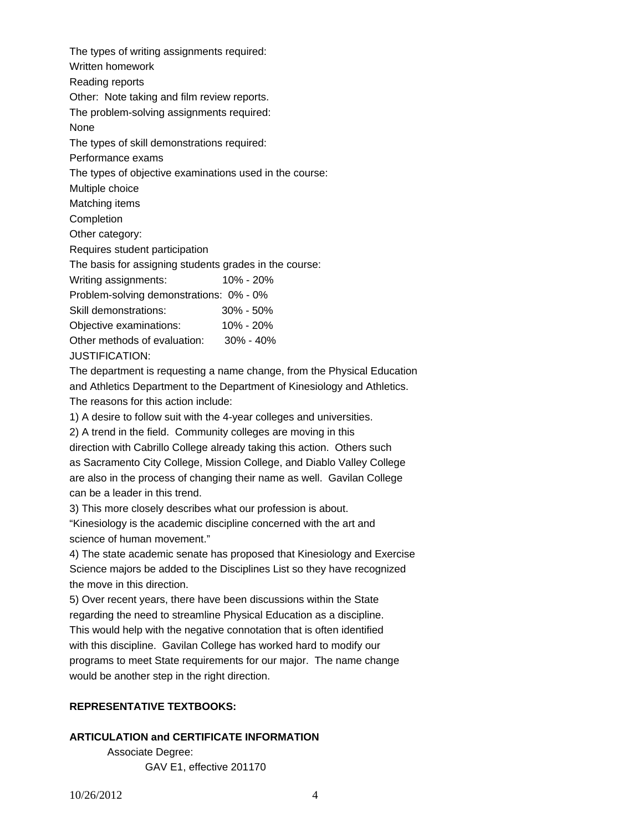The types of writing assignments required: Written homework Reading reports Other: Note taking and film review reports. The problem-solving assignments required: None The types of skill demonstrations required: Performance exams The types of objective examinations used in the course: Multiple choice Matching items Completion Other category: Requires student participation The basis for assigning students grades in the course: Writing assignments: 10% - 20% Problem-solving demonstrations: 0% - 0% Skill demonstrations: 30% - 50% Objective examinations: 10% - 20%

Other methods of evaluation: 30% - 40%

JUSTIFICATION:

The department is requesting a name change, from the Physical Education and Athletics Department to the Department of Kinesiology and Athletics.

The reasons for this action include:

1) A desire to follow suit with the 4-year colleges and universities.

2) A trend in the field. Community colleges are moving in this

direction with Cabrillo College already taking this action. Others such as Sacramento City College, Mission College, and Diablo Valley College are also in the process of changing their name as well. Gavilan College can be a leader in this trend.

3) This more closely describes what our profession is about.

"Kinesiology is the academic discipline concerned with the art and science of human movement."

4) The state academic senate has proposed that Kinesiology and Exercise Science majors be added to the Disciplines List so they have recognized the move in this direction.

5) Over recent years, there have been discussions within the State regarding the need to streamline Physical Education as a discipline.

This would help with the negative connotation that is often identified with this discipline. Gavilan College has worked hard to modify our programs to meet State requirements for our major. The name change would be another step in the right direction.

# **REPRESENTATIVE TEXTBOOKS:**

## **ARTICULATION and CERTIFICATE INFORMATION**

 Associate Degree: GAV E1, effective 201170